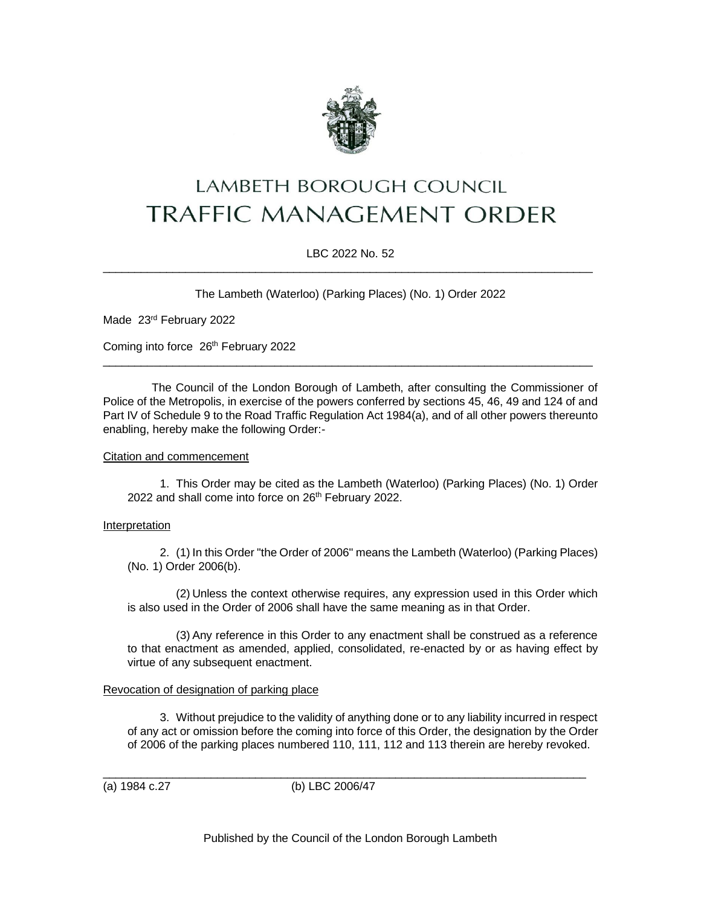

# LAMBETH BOROUGH COUNCIL **TRAFFIC MANAGEMENT ORDER**

## LBC 2022 No. 52 \_\_\_\_\_\_\_\_\_\_\_\_\_\_\_\_\_\_\_\_\_\_\_\_\_\_\_\_\_\_\_\_\_\_\_\_\_\_\_\_\_\_\_\_\_\_\_\_\_\_\_\_\_\_\_\_\_\_\_\_\_\_\_\_\_\_\_\_\_\_\_\_\_\_\_\_\_

The Lambeth (Waterloo) (Parking Places) (No. 1) Order 2022

Made 23rd February 2022

Coming into force 26<sup>th</sup> February 2022

The Council of the London Borough of Lambeth, after consulting the Commissioner of Police of the Metropolis, in exercise of the powers conferred by sections 45, 46, 49 and 124 of and Part IV of Schedule 9 to the Road Traffic Regulation Act 1984(a), and of all other powers thereunto enabling, hereby make the following Order:-

\_\_\_\_\_\_\_\_\_\_\_\_\_\_\_\_\_\_\_\_\_\_\_\_\_\_\_\_\_\_\_\_\_\_\_\_\_\_\_\_\_\_\_\_\_\_\_\_\_\_\_\_\_\_\_\_\_\_\_\_\_\_\_\_\_\_\_\_\_\_\_\_\_\_\_\_\_

### Citation and commencement

1. This Order may be cited as the Lambeth (Waterloo) (Parking Places) (No. 1) Order 2022 and shall come into force on 26<sup>th</sup> February 2022.

### Interpretation

2. (1) In this Order "the Order of 2006" means the Lambeth (Waterloo) (Parking Places) (No. 1) Order 2006(b).

(2) Unless the context otherwise requires, any expression used in this Order which is also used in the Order of 2006 shall have the same meaning as in that Order.

(3) Any reference in this Order to any enactment shall be construed as a reference to that enactment as amended, applied, consolidated, re-enacted by or as having effect by virtue of any subsequent enactment.

### Revocation of designation of parking place

3. Without prejudice to the validity of anything done or to any liability incurred in respect of any act or omission before the coming into force of this Order, the designation by the Order of 2006 of the parking places numbered 110, 111, 112 and 113 therein are hereby revoked.

(a) 1984 c.27 (b) LBC 2006/47

\_\_\_\_\_\_\_\_\_\_\_\_\_\_\_\_\_\_\_\_\_\_\_\_\_\_\_\_\_\_\_\_\_\_\_\_\_\_\_\_\_\_\_\_\_\_\_\_\_\_\_\_\_\_\_\_\_\_\_\_\_\_\_\_\_\_\_\_\_\_\_\_\_\_\_\_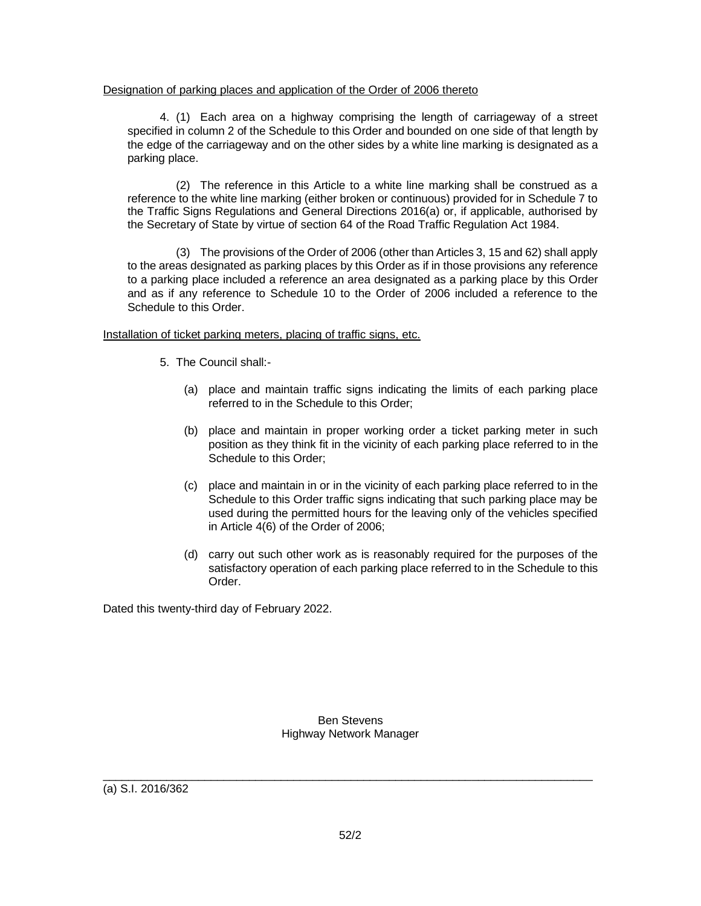## Designation of parking places and application of the Order of 2006 thereto

4. (1) Each area on a highway comprising the length of carriageway of a street specified in column 2 of the Schedule to this Order and bounded on one side of that length by the edge of the carriageway and on the other sides by a white line marking is designated as a parking place.

(2) The reference in this Article to a white line marking shall be construed as a reference to the white line marking (either broken or continuous) provided for in Schedule 7 to the Traffic Signs Regulations and General Directions 2016(a) or, if applicable, authorised by the Secretary of State by virtue of section 64 of the Road Traffic Regulation Act 1984.

(3) The provisions of the Order of 2006 (other than Articles 3, 15 and 62) shall apply to the areas designated as parking places by this Order as if in those provisions any reference to a parking place included a reference an area designated as a parking place by this Order and as if any reference to Schedule 10 to the Order of 2006 included a reference to the Schedule to this Order.

## Installation of ticket parking meters, placing of traffic signs, etc.

- 5. The Council shall:-
	- (a) place and maintain traffic signs indicating the limits of each parking place referred to in the Schedule to this Order;
	- (b) place and maintain in proper working order a ticket parking meter in such position as they think fit in the vicinity of each parking place referred to in the Schedule to this Order;
	- (c) place and maintain in or in the vicinity of each parking place referred to in the Schedule to this Order traffic signs indicating that such parking place may be used during the permitted hours for the leaving only of the vehicles specified in Article 4(6) of the Order of 2006;
	- (d) carry out such other work as is reasonably required for the purposes of the satisfactory operation of each parking place referred to in the Schedule to this Order.

Dated this twenty-third day of February 2022.

Ben Stevens Highway Network Manager

\_\_\_\_\_\_\_\_\_\_\_\_\_\_\_\_\_\_\_\_\_\_\_\_\_\_\_\_\_\_\_\_\_\_\_\_\_\_\_\_\_\_\_\_\_\_\_\_\_\_\_\_\_\_\_\_\_\_\_\_\_\_\_\_\_\_\_\_\_\_\_\_\_\_\_\_\_